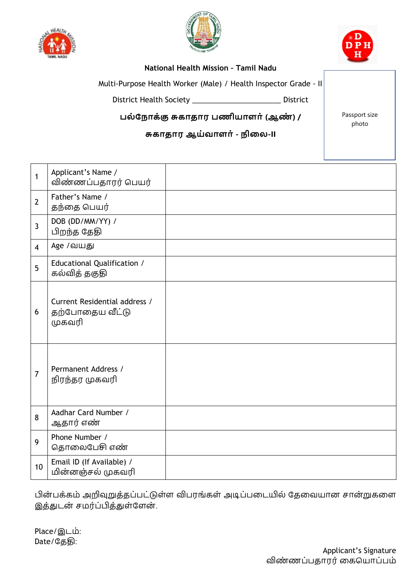





## **National Health Mission – Tamil Nadu**

Multi-Purpose Health Worker (Male) / Health Inspector Grade - II

District Health Society \_\_\_\_\_\_\_\_\_\_\_\_\_\_\_\_\_\_\_\_\_\_ District

**பல் ந ோக்கு சுகோதோர பணியோளோ்(ஆண் ) /** 

## **சுகோதோர ஆய்வோளோ்- ிலல-II**

Passport size photo

| $\mathbf{1}$   | Applicant's Name /<br>விண்ணப்பதாரர் பெயர்                  |  |
|----------------|------------------------------------------------------------|--|
| $\overline{2}$ | Father's Name /<br>தந்தை பெயர்                             |  |
| $\overline{3}$ | DOB (DD/MM/YY) /<br>பிறந்த தேதி                            |  |
| $\overline{4}$ | Age /வயது                                                  |  |
| 5              | Educational Qualification /<br>கல்வித் தகுதி               |  |
| 6              | Current Residential address /<br>தற்போதைய வீட்டு<br>முகவரி |  |
| $\overline{7}$ | Permanent Address /<br>நிரந்தர முகவரி                      |  |
| 8              | Aadhar Card Number /<br>ஆதார் எண்                          |  |
| 9              | Phone Number /<br>தொலைபேசி எண்                             |  |
| 10             | Email ID (If Available) /<br>மின்னஞ்சல் முகவரி             |  |

பின் பக்கம் அறிவுறுத்தப்பட்டுள்ள விபரங்கள் அடிப்பதடயில் தததவயான சான்றுகதள இத்துடன் சமர்ப்பித்துள்ளேன்.

Place/இடம்: Date/தததி: